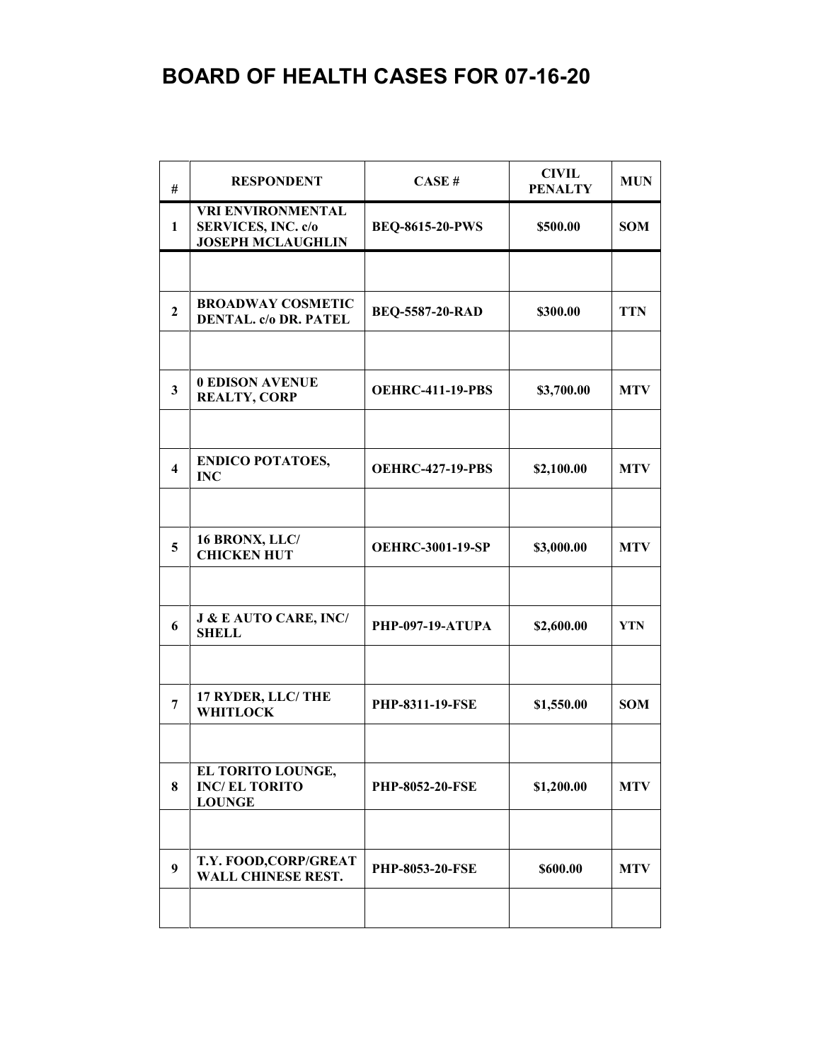## **BOARD OF HEALTH CASES FOR 07-16-20**

| #                       | <b>RESPONDENT</b>                                                                 | CASE#                   | <b>CIVIL</b><br><b>PENALTY</b> | <b>MUN</b> |
|-------------------------|-----------------------------------------------------------------------------------|-------------------------|--------------------------------|------------|
| 1                       | <b>VRI ENVIRONMENTAL</b><br><b>SERVICES, INC. c/o</b><br><b>JOSEPH MCLAUGHLIN</b> | <b>BEQ-8615-20-PWS</b>  | \$500.00                       | <b>SOM</b> |
|                         |                                                                                   |                         |                                |            |
| $\overline{2}$          | <b>BROADWAY COSMETIC</b><br><b>DENTAL. c/o DR. PATEL</b>                          | <b>BEQ-5587-20-RAD</b>  | \$300.00                       | <b>TTN</b> |
| $\mathbf{3}$            | <b>0 EDISON AVENUE</b><br><b>REALTY, CORP</b>                                     | <b>OEHRC-411-19-PBS</b> | \$3,700.00                     | <b>MTV</b> |
|                         | <b>ENDICO POTATOES,</b>                                                           |                         |                                |            |
| $\overline{\mathbf{4}}$ | <b>INC</b>                                                                        | <b>OEHRC-427-19-PBS</b> | \$2,100.00                     | <b>MTV</b> |
| 5                       | 16 BRONX, LLC/<br><b>CHICKEN HUT</b>                                              | <b>OEHRC-3001-19-SP</b> | \$3,000.00                     | <b>MTV</b> |
| 6                       | <b>J &amp; E AUTO CARE, INC/</b><br><b>SHELL</b>                                  | <b>PHP-097-19-ATUPA</b> | \$2,600.00                     | <b>YTN</b> |
| 7                       | 17 RYDER, LLC/ THE<br><b>WHITLOCK</b>                                             | <b>PHP-8311-19-FSE</b>  | \$1,550.00                     | <b>SOM</b> |
|                         |                                                                                   |                         |                                |            |
| 8                       | EL TORITO LOUNGE,<br><b>INC/EL TORITO</b><br><b>LOUNGE</b>                        | <b>PHP-8052-20-FSE</b>  | \$1,200.00                     | <b>MTV</b> |
|                         | T.Y. FOOD, CORP/GREAT                                                             |                         |                                |            |
| 9                       | <b>WALL CHINESE REST.</b>                                                         | <b>PHP-8053-20-FSE</b>  | \$600.00                       | <b>MTV</b> |
|                         |                                                                                   |                         |                                |            |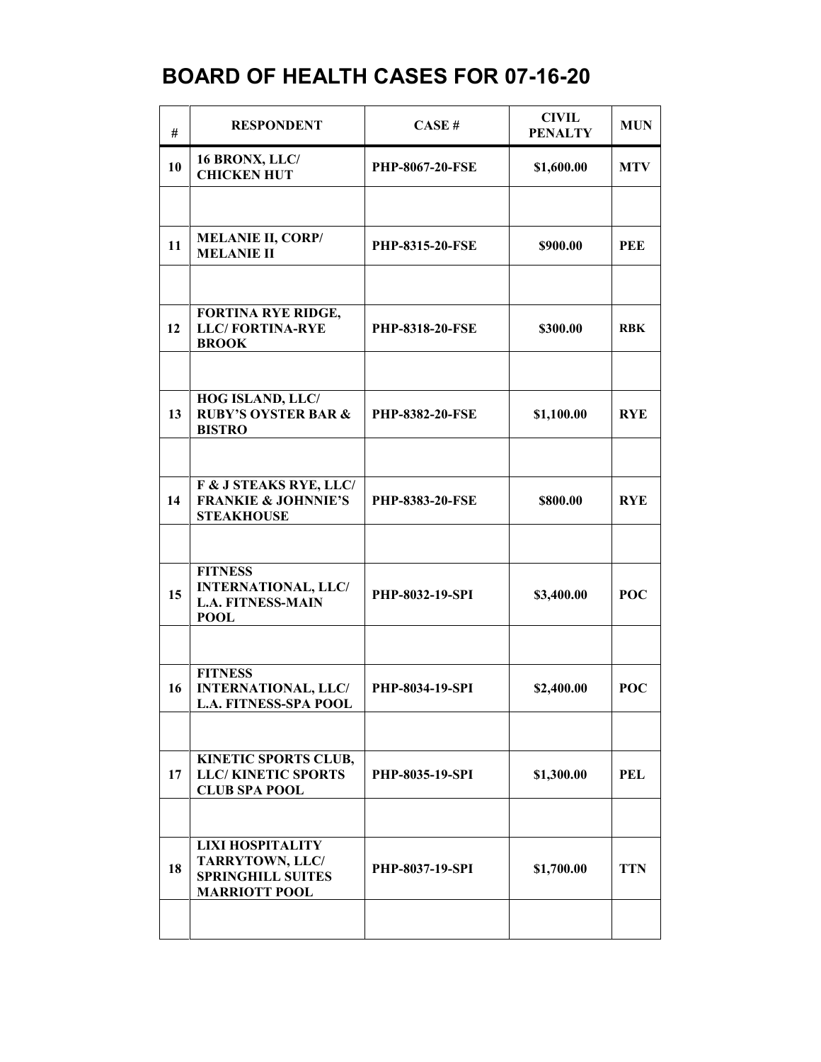## **BOARD OF HEALTH CASES FOR 07-16-20**

| #  | <b>RESPONDENT</b>                                                                              | CASE#                  | <b>CIVIL</b><br><b>PENALTY</b> | <b>MUN</b> |
|----|------------------------------------------------------------------------------------------------|------------------------|--------------------------------|------------|
| 10 | 16 BRONX, LLC/<br><b>CHICKEN HUT</b>                                                           | PHP-8067-20-FSE        | \$1,600.00                     | <b>MTV</b> |
|    |                                                                                                |                        |                                |            |
| 11 | <b>MELANIE II, CORP/</b><br><b>MELANIE II</b>                                                  | <b>PHP-8315-20-FSE</b> | \$900.00                       | <b>PEE</b> |
|    |                                                                                                |                        |                                |            |
| 12 | <b>FORTINA RYE RIDGE,</b><br><b>LLC/FORTINA-RYE</b><br><b>BROOK</b>                            | <b>PHP-8318-20-FSE</b> | \$300.00                       | <b>RBK</b> |
|    |                                                                                                |                        |                                |            |
| 13 | HOG ISLAND, LLC/<br><b>RUBY'S OYSTER BAR &amp;</b><br><b>BISTRO</b>                            | PHP-8382-20-FSE        | \$1,100.00                     | <b>RYE</b> |
|    |                                                                                                |                        |                                |            |
| 14 | F & J STEAKS RYE, LLC/<br><b>FRANKIE &amp; JOHNNIE'S</b><br><b>STEAKHOUSE</b>                  | <b>PHP-8383-20-FSE</b> | \$800.00                       | <b>RYE</b> |
|    |                                                                                                |                        |                                |            |
| 15 | <b>FITNESS</b><br><b>INTERNATIONAL, LLC/</b><br><b>L.A. FITNESS-MAIN</b><br><b>POOL</b>        | PHP-8032-19-SPI        | \$3,400.00                     | <b>POC</b> |
|    |                                                                                                |                        |                                |            |
| 16 | <b>FITNESS</b><br><b>INTERNATIONAL, LLC/</b><br><b>L.A. FITNESS-SPA POOL</b>                   | PHP-8034-19-SPI        | \$2,400.00                     | <b>POC</b> |
|    |                                                                                                |                        |                                |            |
| 17 | KINETIC SPORTS CLUB,<br><b>LLC/KINETIC SPORTS</b><br><b>CLUB SPA POOL</b>                      | <b>PHP-8035-19-SPI</b> | \$1,300.00                     | <b>PEL</b> |
|    |                                                                                                |                        |                                |            |
| 18 | <b>LIXI HOSPITALITY</b><br>TARRYTOWN, LLC/<br><b>SPRINGHILL SUITES</b><br><b>MARRIOTT POOL</b> | PHP-8037-19-SPI        | \$1,700.00                     | <b>TTN</b> |
|    |                                                                                                |                        |                                |            |